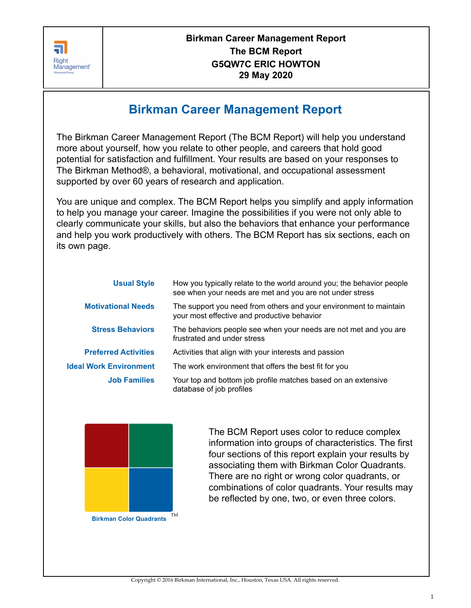

# **Birkman Career Management Report**

The Birkman Career Management Report (The BCM Report) will help you understand more about yourself, how you relate to other people, and careers that hold good potential for satisfaction and fulfillment. Your results are based on your responses to The Birkman Method®, a behavioral, motivational, and occupational assessment supported by over 60 years of research and application.

You are unique and complex. The BCM Report helps you simplify and apply information to help you manage your career. Imagine the possibilities if you were not only able to clearly communicate your skills, but also the behaviors that enhance your performance and help you work productively with others. The BCM Report has six sections, each on its own page.

| <b>Usual Style</b>            | How you typically relate to the world around you; the behavior people<br>see when your needs are met and you are not under stress |  |
|-------------------------------|-----------------------------------------------------------------------------------------------------------------------------------|--|
| <b>Motivational Needs</b>     | The support you need from others and your environment to maintain<br>your most effective and productive behavior                  |  |
| <b>Stress Behaviors</b>       | The behaviors people see when your needs are not met and you are<br>frustrated and under stress                                   |  |
| <b>Preferred Activities</b>   | Activities that align with your interests and passion                                                                             |  |
| <b>Ideal Work Environment</b> | The work environment that offers the best fit for you                                                                             |  |
| <b>Job Families</b>           | Your top and bottom job profile matches based on an extensive<br>database of job profiles                                         |  |



The BCM Report uses color to reduce complex information into groups of characteristics. The first four sections of this report explain your results by associating them with Birkman Color Quadrants. There are no right or wrong color quadrants, or combinations of color quadrants. Your results may be reflected by one, two, or even three colors.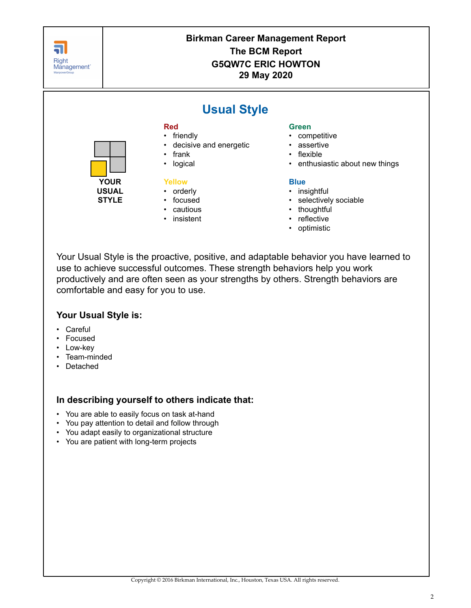

Your Usual Style is the proactive, positive, and adaptable behavior you have learned to use to achieve successful outcomes. These strength behaviors help you work productively and are often seen as your strengths by others. Strength behaviors are comfortable and easy for you to use.

### **Your Usual Style is:**

- Careful
- Focused
- Low-key
- Team-minded
- Detached

## **In describing yourself to others indicate that:**

- You are able to easily focus on task at-hand
- You pay attention to detail and follow through
- You adapt easily to organizational structure
- You are patient with long-term projects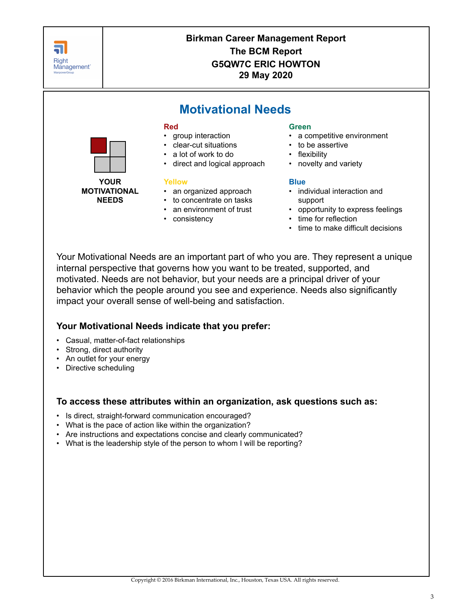

Your Motivational Needs are an important part of who you are. They represent a unique internal perspective that governs how you want to be treated, supported, and motivated. Needs are not behavior, but your needs are a principal driver of your behavior which the people around you see and experience. Needs also significantly impact your overall sense of well-being and satisfaction.

## **Your Motivational Needs indicate that you prefer:**

- Casual, matter-of-fact relationships
- Strong, direct authority
- An outlet for your energy
- Directive scheduling

### **To access these attributes within an organization, ask questions such as:**

- Is direct, straight-forward communication encouraged?
- What is the pace of action like within the organization?
- Are instructions and expectations concise and clearly communicated?
- What is the leadership style of the person to whom I will be reporting?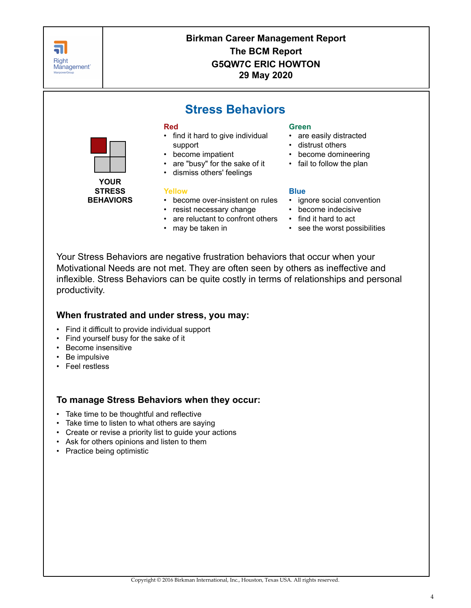

Your Stress Behaviors are negative frustration behaviors that occur when your Motivational Needs are not met. They are often seen by others as ineffective and inflexible. Stress Behaviors can be quite costly in terms of relationships and personal productivity.

### **When frustrated and under stress, you may:**

- Find it difficult to provide individual support
- Find yourself busy for the sake of it
- Become insensitive
- Be impulsive
- Feel restless

## **To manage Stress Behaviors when they occur:**

- Take time to be thoughtful and reflective
- Take time to listen to what others are saying
- Create or revise a priority list to guide your actions
- Ask for others opinions and listen to them
- Practice being optimistic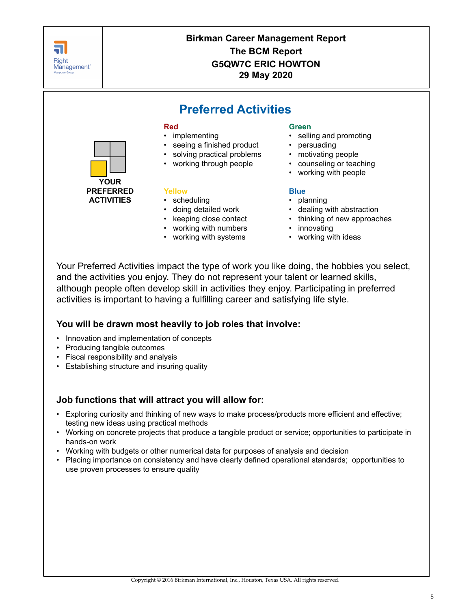

Your Preferred Activities impact the type of work you like doing, the hobbies you select, and the activities you enjoy. They do not represent your talent or learned skills, although people often develop skill in activities they enjoy. Participating in preferred activities is important to having a fulfilling career and satisfying life style.

## **You will be drawn most heavily to job roles that involve:**

- Innovation and implementation of concepts
- Producing tangible outcomes
- Fiscal responsibility and analysis
- Establishing structure and insuring quality

### **Job functions that will attract you will allow for:**

- Exploring curiosity and thinking of new ways to make process/products more efficient and effective; testing new ideas using practical methods
- Working on concrete projects that produce a tangible product or service; opportunities to participate in hands-on work
- Working with budgets or other numerical data for purposes of analysis and decision
- Placing importance on consistency and have clearly defined operational standards; opportunities to use proven processes to ensure quality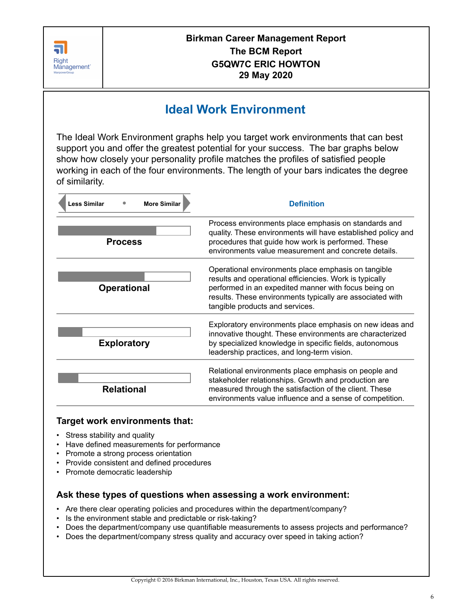

# **Ideal Work Environment**

The Ideal Work Environment graphs help you target work environments that can best support you and offer the greatest potential for your success. The bar graphs below show how closely your personality profile matches the profiles of satisfied people working in each of the four environments. The length of your bars indicates the degree of similarity.

| <b>More Similar</b><br><b>Less Similar</b> | <b>Definition</b>                                                                                                                                                                                                                                                      |
|--------------------------------------------|------------------------------------------------------------------------------------------------------------------------------------------------------------------------------------------------------------------------------------------------------------------------|
| <b>Process</b>                             | Process environments place emphasis on standards and<br>quality. These environments will have established policy and<br>procedures that guide how work is performed. These<br>environments value measurement and concrete details.                                     |
| <b>Operational</b>                         | Operational environments place emphasis on tangible<br>results and operational efficiencies. Work is typically<br>performed in an expedited manner with focus being on<br>results. These environments typically are associated with<br>tangible products and services. |
| <b>Exploratory</b>                         | Exploratory environments place emphasis on new ideas and<br>innovative thought. These environments are characterized<br>by specialized knowledge in specific fields, autonomous<br>leadership practices, and long-term vision.                                         |
| <b>Relational</b>                          | Relational environments place emphasis on people and<br>stakeholder relationships. Growth and production are<br>measured through the satisfaction of the client. These<br>environments value influence and a sense of competition.                                     |

## **Target work environments that:**

- Stress stability and quality
- Have defined measurements for performance
- Promote a strong process orientation
- Provide consistent and defined procedures
- Promote democratic leadership

### **Ask these types of questions when assessing a work environment:**

- Are there clear operating policies and procedures within the department/company?
- Is the environment stable and predictable or risk-taking?
- Does the department/company use quantifiable measurements to assess projects and performance?
- Does the department/company stress quality and accuracy over speed in taking action?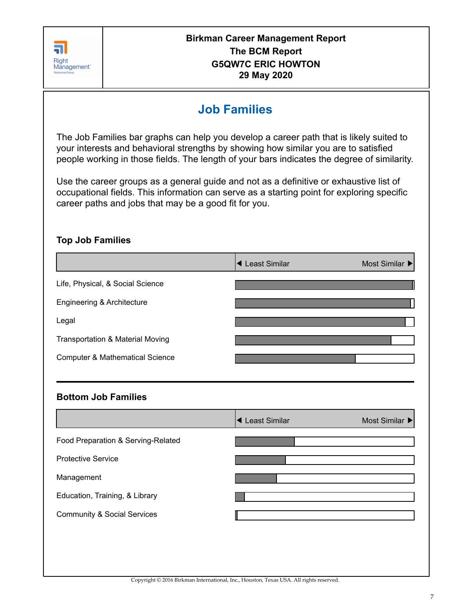

# **Job Families**

The Job Families bar graphs can help you develop a career path that is likely suited to your interests and behavioral strengths by showing how similar you are to satisfied people working in those fields. The length of your bars indicates the degree of similarity.

Use the career groups as a general guide and not as a definitive or exhaustive list of occupational fields. This information can serve as a starting point for exploring specific career paths and jobs that may be a good fit for you.

# **Top Job Families**

|                                             | ◀ Least Similar | Most Similar ▶ |
|---------------------------------------------|-----------------|----------------|
| Life, Physical, & Social Science            |                 |                |
| Engineering & Architecture                  |                 |                |
| Legal                                       |                 |                |
| <b>Transportation &amp; Material Moving</b> |                 |                |
| <b>Computer &amp; Mathematical Science</b>  |                 |                |
|                                             |                 |                |
| <b>Bottom Job Families</b>                  |                 |                |
|                                             | ◀ Least Similar | Most Similar ▶ |
| Food Preparation & Serving-Related          |                 |                |
| <b>Protective Service</b>                   |                 |                |
| Management                                  |                 |                |

Education, Training, & Library

Community & Social Services

Copyright © 2016 Birkman International, Inc., Houston, Texas USA. All rights reserved.